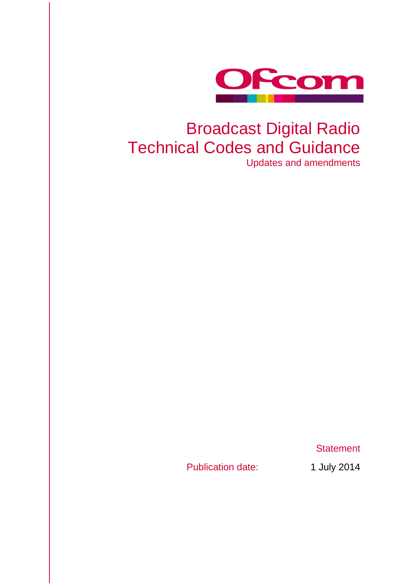

# Broadcast Digital Radio Technical Codes and Guidance

Updates and amendments

**Statement** 

Publication date: 1 July 2014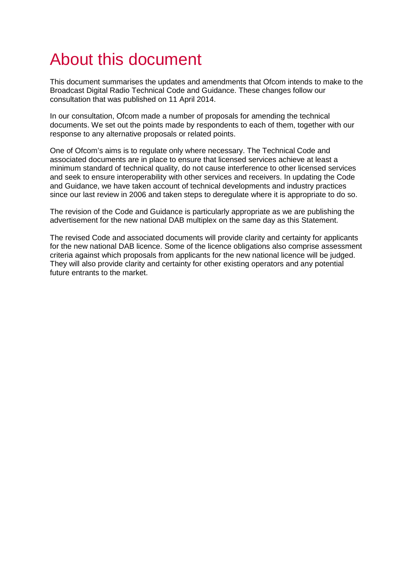## About this document

This document summarises the updates and amendments that Ofcom intends to make to the Broadcast Digital Radio Technical Code and Guidance. These changes follow our consultation that was published on 11 April 2014.

In our consultation, Ofcom made a number of proposals for amending the technical documents. We set out the points made by respondents to each of them, together with our response to any alternative proposals or related points.

One of Ofcom's aims is to regulate only where necessary. The Technical Code and associated documents are in place to ensure that licensed services achieve at least a minimum standard of technical quality, do not cause interference to other licensed services and seek to ensure interoperability with other services and receivers. In updating the Code and Guidance, we have taken account of technical developments and industry practices since our last review in 2006 and taken steps to deregulate where it is appropriate to do so.

The revision of the Code and Guidance is particularly appropriate as we are publishing the advertisement for the new national DAB multiplex on the same day as this Statement.

The revised Code and associated documents will provide clarity and certainty for applicants for the new national DAB licence. Some of the licence obligations also comprise assessment criteria against which proposals from applicants for the new national licence will be judged. They will also provide clarity and certainty for other existing operators and any potential future entrants to the market.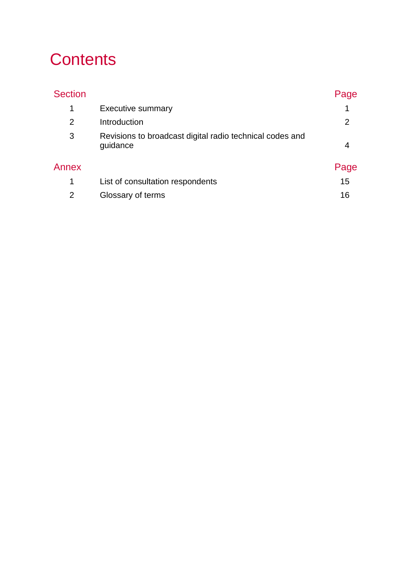## **Contents**

| <b>Section</b> |                                                                      | Page |
|----------------|----------------------------------------------------------------------|------|
| 1              | <b>Executive summary</b>                                             | 1    |
| $\overline{2}$ | Introduction                                                         | 2    |
| 3              | Revisions to broadcast digital radio technical codes and<br>guidance | 4    |
| Annex          |                                                                      | Page |
| 1              | List of consultation respondents                                     | 15   |
| 2              | Glossary of terms                                                    | 16   |
|                |                                                                      |      |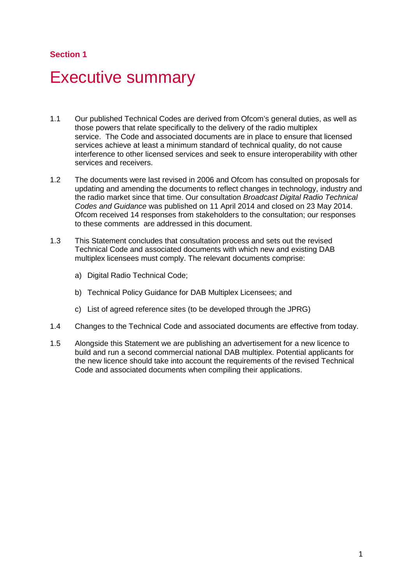### **Section 1**

## <span id="page-3-0"></span>**Executive summary**

- 1.1 Our published Technical Codes are derived from Ofcom's general duties, as well as those powers that relate specifically to the delivery of the radio multiplex service. The Code and associated documents are in place to ensure that licensed services achieve at least a minimum standard of technical quality, do not cause interference to other licensed services and seek to ensure interoperability with other services and receivers.
- 1.2 The documents were last revised in 2006 and Ofcom has consulted on proposals for updating and amending the documents to reflect changes in technology, industry and the radio market since that time. Our consultation *Broadcast Digital Radio Technical Codes and Guidance* was published on 11 April 2014 and closed on 23 May 2014. Ofcom received 14 responses from stakeholders to the consultation; our responses to these comments are addressed in this document.
- 1.3 This Statement concludes that consultation process and sets out the revised Technical Code and associated documents with which new and existing DAB multiplex licensees must comply. The relevant documents comprise:
	- a) Digital Radio Technical Code;
	- b) Technical Policy Guidance for DAB Multiplex Licensees; and
	- c) List of agreed reference sites (to be developed through the JPRG)
- 1.4 Changes to the Technical Code and associated documents are effective from today.
- 1.5 Alongside this Statement we are publishing an advertisement for a new licence to build and run a second commercial national DAB multiplex. Potential applicants for the new licence should take into account the requirements of the revised Technical Code and associated documents when compiling their applications.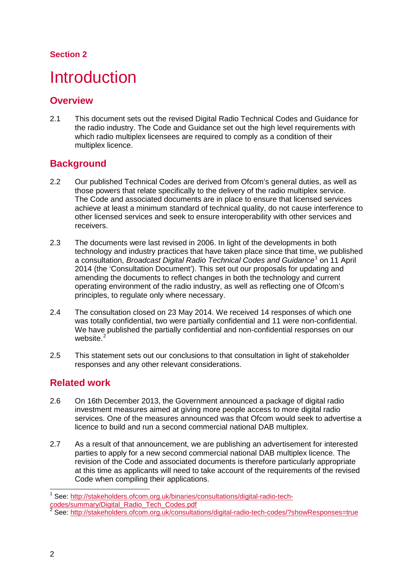## **Section 2**

## <span id="page-4-0"></span>**Introduction**

## **Overview**

2.1 This document sets out the revised Digital Radio Technical Codes and Guidance for the radio industry. The Code and Guidance set out the high level requirements with which radio multiplex licensees are required to comply as a condition of their multiplex licence.

## **Background**

- 2.2 Our published Technical Codes are derived from Ofcom's general duties, as well as those powers that relate specifically to the delivery of the radio multiplex service. The Code and associated documents are in place to ensure that licensed services achieve at least a minimum standard of technical quality, do not cause interference to other licensed services and seek to ensure interoperability with other services and receivers.
- 2.3 The documents were last revised in 2006. In light of the developments in both technology and industry practices that have taken place since that time, we published a consultation, *Broadcast Digital Radio Technical Codes and Guidance*[1](#page-4-1) on 11 April 2014 (the 'Consultation Document'). This set out our proposals for updating and amending the documents to reflect changes in both the technology and current operating environment of the radio industry, as well as reflecting one of Ofcom's principles, to regulate only where necessary.
- 2.4 The consultation closed on 23 May 2014. We received 14 responses of which one was totally confidential, two were partially confidential and 11 were non-confidential. We have published the partially confidential and non-confidential responses on our website.<sup>[2](#page-4-2)</sup>
- 2.5 This statement sets out our conclusions to that consultation in light of stakeholder responses and any other relevant considerations.

## **Related work**

- 2.6 On 16th December 2013, the Government announced a package of digital radio investment measures aimed at giving more people access to more digital radio services. One of the measures announced was that Ofcom would seek to advertise a licence to build and run a second commercial national DAB multiplex.
- 2.7 As a result of that announcement, we are publishing an advertisement for interested parties to apply for a new second commercial national DAB multiplex licence. The revision of the Code and associated documents is therefore particularly appropriate at this time as applicants will need to take account of the requirements of the revised Code when compiling their applications.

<span id="page-4-1"></span><sup>1</sup> See: [http://stakeholders.ofcom.org.uk/binaries/consultations/digital-radio-tech](http://stakeholders.ofcom.org.uk/binaries/consultations/digital-radio-tech-codes/summary/Digital_Radio_Tech_Codes.pdf)[codes/summary/Digital\\_Radio\\_Tech\\_Codes.pdf](http://stakeholders.ofcom.org.uk/binaries/consultations/digital-radio-tech-codes/summary/Digital_Radio_Tech_Codes.pdf)  $\overline{a}$ 

<span id="page-4-2"></span><sup>&</sup>lt;sup>2</sup> See:<http://stakeholders.ofcom.org.uk/consultations/digital-radio-tech-codes/?showResponses=true>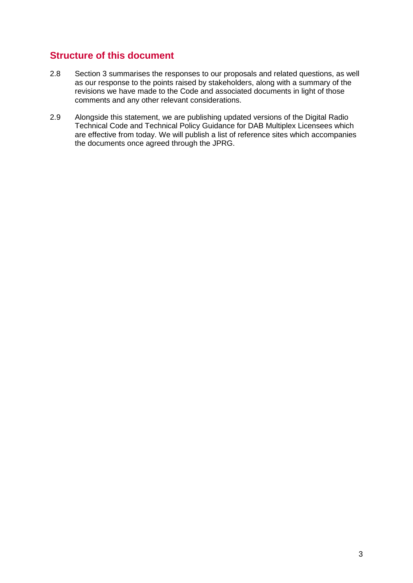## **Structure of this document**

- 2.8 Section 3 summarises the responses to our proposals and related questions, as well as our response to the points raised by stakeholders, along with a summary of the revisions we have made to the Code and associated documents in light of those comments and any other relevant considerations.
- 2.9 Alongside this statement, we are publishing updated versions of the Digital Radio Technical Code and Technical Policy Guidance for DAB Multiplex Licensees which are effective from today. We will publish a list of reference sites which accompanies the documents once agreed through the JPRG.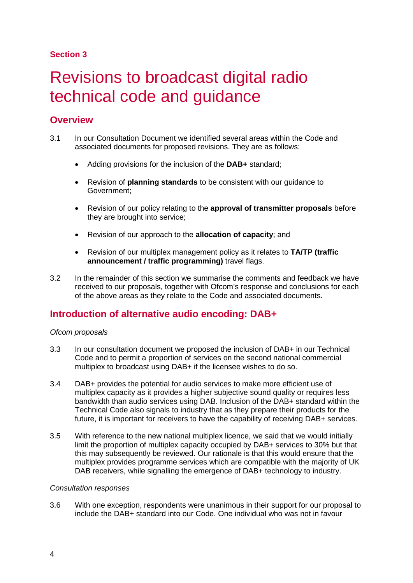### **Section 3**

## <span id="page-6-0"></span>3 Revisions to broadcast digital radio technical code and guidance

## **Overview**

- 3.1 In our Consultation Document we identified several areas within the Code and associated documents for proposed revisions. They are as follows:
	- Adding provisions for the inclusion of the **DAB+** standard;
	- Revision of **planning standards** to be consistent with our guidance to Government;
	- Revision of our policy relating to the **approval of transmitter proposals** before they are brought into service;
	- Revision of our approach to the **allocation of capacity**; and
	- Revision of our multiplex management policy as it relates to **TA/TP (traffic announcement / traffic programming)** travel flags.
- 3.2 In the remainder of this section we summarise the comments and feedback we have received to our proposals, together with Ofcom's response and conclusions for each of the above areas as they relate to the Code and associated documents.

## **Introduction of alternative audio encoding: DAB+**

#### *Ofcom proposals*

- 3.3 In our consultation document we proposed the inclusion of DAB+ in our Technical Code and to permit a proportion of services on the second national commercial multiplex to broadcast using DAB+ if the licensee wishes to do so.
- 3.4 DAB+ provides the potential for audio services to make more efficient use of multiplex capacity as it provides a higher subjective sound quality or requires less bandwidth than audio services using DAB. Inclusion of the DAB+ standard within the Technical Code also signals to industry that as they prepare their products for the future, it is important for receivers to have the capability of receiving DAB+ services.
- 3.5 With reference to the new national multiplex licence, we said that we would initially limit the proportion of multiplex capacity occupied by DAB+ services to 30% but that this may subsequently be reviewed. Our rationale is that this would ensure that the multiplex provides programme services which are compatible with the majority of UK DAB receivers, while signalling the emergence of DAB+ technology to industry.

#### *Consultation responses*

3.6 With one exception, respondents were unanimous in their support for our proposal to include the DAB+ standard into our Code. One individual who was not in favour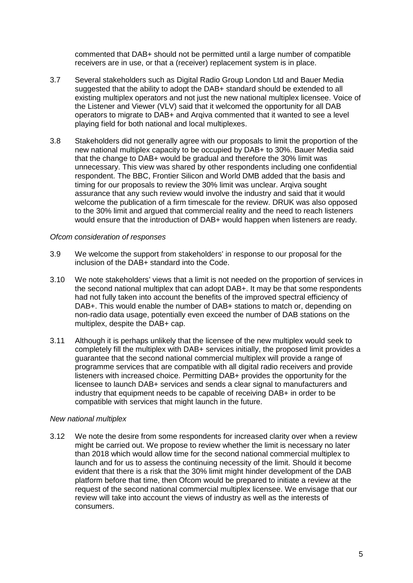commented that DAB+ should not be permitted until a large number of compatible receivers are in use, or that a (receiver) replacement system is in place.

- 3.7 Several stakeholders such as Digital Radio Group London Ltd and Bauer Media suggested that the ability to adopt the DAB+ standard should be extended to all existing multiplex operators and not just the new national multiplex licensee. Voice of the Listener and Viewer (VLV) said that it welcomed the opportunity for all DAB operators to migrate to DAB+ and Arqiva commented that it wanted to see a level playing field for both national and local multiplexes.
- 3.8 Stakeholders did not generally agree with our proposals to limit the proportion of the new national multiplex capacity to be occupied by DAB+ to 30%. Bauer Media said that the change to DAB+ would be gradual and therefore the 30% limit was unnecessary. This view was shared by other respondents including one confidential respondent. The BBC, Frontier Silicon and World DMB added that the basis and timing for our proposals to review the 30% limit was unclear. Arqiva sought assurance that any such review would involve the industry and said that it would welcome the publication of a firm timescale for the review. DRUK was also opposed to the 30% limit and argued that commercial reality and the need to reach listeners would ensure that the introduction of DAB+ would happen when listeners are ready.

#### *Ofcom consideration of responses*

- 3.9 We welcome the support from stakeholders' in response to our proposal for the inclusion of the DAB+ standard into the Code.
- 3.10 We note stakeholders' views that a limit is not needed on the proportion of services in the second national multiplex that can adopt DAB+. It may be that some respondents had not fully taken into account the benefits of the improved spectral efficiency of DAB+. This would enable the number of DAB+ stations to match or, depending on non-radio data usage, potentially even exceed the number of DAB stations on the multiplex, despite the DAB+ cap.
- 3.11 Although it is perhaps unlikely that the licensee of the new multiplex would seek to completely fill the multiplex with DAB+ services initially, the proposed limit provides a guarantee that the second national commercial multiplex will provide a range of programme services that are compatible with all digital radio receivers and provide listeners with increased choice. Permitting DAB+ provides the opportunity for the licensee to launch DAB+ services and sends a clear signal to manufacturers and industry that equipment needs to be capable of receiving DAB+ in order to be compatible with services that might launch in the future.

#### *New national multiplex*

3.12 We note the desire from some respondents for increased clarity over when a review might be carried out. We propose to review whether the limit is necessary no later than 2018 which would allow time for the second national commercial multiplex to launch and for us to assess the continuing necessity of the limit. Should it become evident that there is a risk that the 30% limit might hinder development of the DAB platform before that time, then Ofcom would be prepared to initiate a review at the request of the second national commercial multiplex licensee. We envisage that our review will take into account the views of industry as well as the interests of consumers.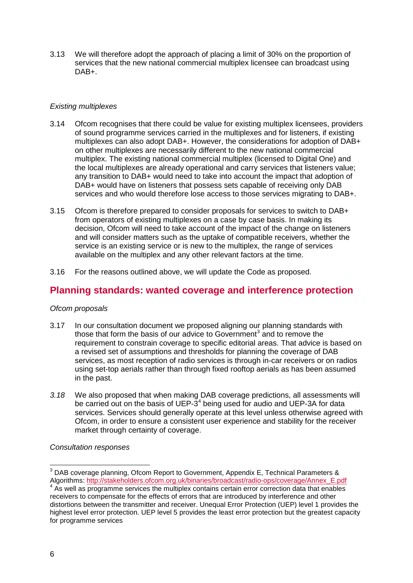3.13 We will therefore adopt the approach of placing a limit of 30% on the proportion of services that the new national commercial multiplex licensee can broadcast using DAB+.

#### *Existing multiplexes*

- 3.14 Ofcom recognises that there could be value for existing multiplex licensees, providers of sound programme services carried in the multiplexes and for listeners, if existing multiplexes can also adopt DAB+. However, the considerations for adoption of DAB+ on other multiplexes are necessarily different to the new national commercial multiplex. The existing national commercial multiplex (licensed to Digital One) and the local multiplexes are already operational and carry services that listeners value; any transition to DAB+ would need to take into account the impact that adoption of DAB+ would have on listeners that possess sets capable of receiving only DAB services and who would therefore lose access to those services migrating to DAB+.
- 3.15 Ofcom is therefore prepared to consider proposals for services to switch to DAB+ from operators of existing multiplexes on a case by case basis. In making its decision, Ofcom will need to take account of the impact of the change on listeners and will consider matters such as the uptake of compatible receivers, whether the service is an existing service or is new to the multiplex, the range of services available on the multiplex and any other relevant factors at the time.
- 3.16 For the reasons outlined above, we will update the Code as proposed.

## **Planning standards: wanted coverage and interference protection**

#### *Ofcom proposals*

- 3.17 In our consultation document we proposed aligning our planning standards with those that form the basis of our advice to Government<sup>[3](#page-8-0)</sup> and to remove the requirement to constrain coverage to specific editorial areas. That advice is based on a revised set of assumptions and thresholds for planning the coverage of DAB services, as most reception of radio services is through in-car receivers or on radios using set-top aerials rather than through fixed rooftop aerials as has been assumed in the past.
- *3.18* We also proposed that when making DAB coverage predictions, all assessments will be carried out on the basis of UEP-3<sup>[4](#page-8-1)</sup> being used for audio and UEP-3A for data services. Services should generally operate at this level unless otherwise agreed with Ofcom, in order to ensure a consistent user experience and stability for the receiver market through certainty of coverage.

#### *Consultation responses*

 $^3$  DAB coverage planning, Ofcom Report to Government, Appendix E, Technical Parameters &  $\overline{a}$ 

<span id="page-8-1"></span><span id="page-8-0"></span>Algorithms: [http://stakeholders.ofcom.org.uk/binaries/broadcast/radio-ops/coverage/Annex\\_E.pdf](http://stakeholders.ofcom.org.uk/binaries/broadcast/radio-ops/coverage/Annex_E.pdf) 4 As well as programme services the multiplex contains certain error correction data that enables receivers to compensate for the effects of errors that are introduced by interference and other distortions between the transmitter and receiver. Unequal Error Protection (UEP) level 1 provides the highest level error protection. UEP level 5 provides the least error protection but the greatest capacity for programme services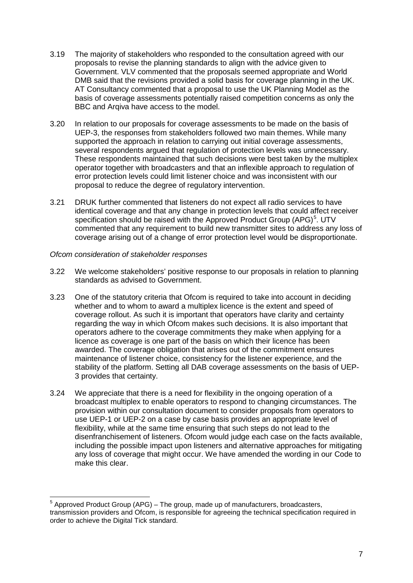- 3.19 The majority of stakeholders who responded to the consultation agreed with our proposals to revise the planning standards to align with the advice given to Government. VLV commented that the proposals seemed appropriate and World DMB said that the revisions provided a solid basis for coverage planning in the UK. AT Consultancy commented that a proposal to use the UK Planning Model as the basis of coverage assessments potentially raised competition concerns as only the BBC and Arqiva have access to the model.
- 3.20 In relation to our proposals for coverage assessments to be made on the basis of UEP-3, the responses from stakeholders followed two main themes. While many supported the approach in relation to carrying out initial coverage assessments, several respondents argued that regulation of protection levels was unnecessary. These respondents maintained that such decisions were best taken by the multiplex operator together with broadcasters and that an inflexible approach to regulation of error protection levels could limit listener choice and was inconsistent with our proposal to reduce the degree of regulatory intervention.
- 3.21 DRUK further commented that listeners do not expect all radio services to have identical coverage and that any change in protection levels that could affect receiver specification should be raised with the Approved Product Group (APG)<sup>[5](#page-9-0)</sup>. UTV commented that any requirement to build new transmitter sites to address any loss of coverage arising out of a change of error protection level would be disproportionate.

#### *Ofcom consideration of stakeholder responses*

- 3.22 We welcome stakeholders' positive response to our proposals in relation to planning standards as advised to Government.
- 3.23 One of the statutory criteria that Ofcom is required to take into account in deciding whether and to whom to award a multiplex licence is the extent and speed of coverage rollout. As such it is important that operators have clarity and certainty regarding the way in which Ofcom makes such decisions. It is also important that operators adhere to the coverage commitments they make when applying for a licence as coverage is one part of the basis on which their licence has been awarded. The coverage obligation that arises out of the commitment ensures maintenance of listener choice, consistency for the listener experience, and the stability of the platform. Setting all DAB coverage assessments on the basis of UEP-3 provides that certainty.
- 3.24 We appreciate that there is a need for flexibility in the ongoing operation of a broadcast multiplex to enable operators to respond to changing circumstances. The provision within our consultation document to consider proposals from operators to use UEP-1 or UEP-2 on a case by case basis provides an appropriate level of flexibility, while at the same time ensuring that such steps do not lead to the disenfranchisement of listeners. Ofcom would judge each case on the facts available, including the possible impact upon listeners and alternative approaches for mitigating any loss of coverage that might occur. We have amended the wording in our Code to make this clear.

<span id="page-9-0"></span> $<sup>5</sup>$  Approved Product Group (APG) – The group, made up of manufacturers, broadcasters,</sup> transmission providers and Ofcom, is responsible for agreeing the technical specification required in order to achieve the Digital Tick standard.  $\overline{a}$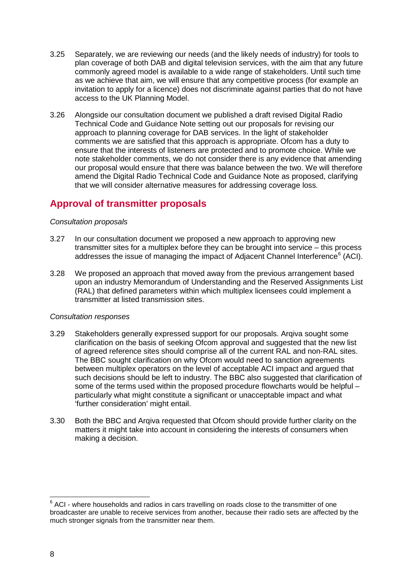- 3.25 Separately, we are reviewing our needs (and the likely needs of industry) for tools to plan coverage of both DAB and digital television services, with the aim that any future commonly agreed model is available to a wide range of stakeholders. Until such time as we achieve that aim, we will ensure that any competitive process (for example an invitation to apply for a licence) does not discriminate against parties that do not have access to the UK Planning Model.
- 3.26 Alongside our consultation document we published a draft revised Digital Radio Technical Code and Guidance Note setting out our proposals for revising our approach to planning coverage for DAB services. In the light of stakeholder comments we are satisfied that this approach is appropriate. Ofcom has a duty to ensure that the interests of listeners are protected and to promote choice. While we note stakeholder comments, we do not consider there is any evidence that amending our proposal would ensure that there was balance between the two. We will therefore amend the Digital Radio Technical Code and Guidance Note as proposed, clarifying that we will consider alternative measures for addressing coverage loss.

## **Approval of transmitter proposals**

#### *Consultation proposals*

- 3.27 In our consultation document we proposed a new approach to approving new transmitter sites for a multiplex before they can be brought into service – this process addresses the issue of managing the impact of Adjacent Channel Interference<sup>[6](#page-10-0)</sup> (ACI).
- 3.28 We proposed an approach that moved away from the previous arrangement based upon an industry Memorandum of Understanding and the Reserved Assignments List (RAL) that defined parameters within which multiplex licensees could implement a transmitter at listed transmission sites.

#### *Consultation responses*

- 3.29 Stakeholders generally expressed support for our proposals. Arqiva sought some clarification on the basis of seeking Ofcom approval and suggested that the new list of agreed reference sites should comprise all of the current RAL and non-RAL sites. The BBC sought clarification on why Ofcom would need to sanction agreements between multiplex operators on the level of acceptable ACI impact and argued that such decisions should be left to industry. The BBC also suggested that clarification of some of the terms used within the proposed procedure flowcharts would be helpful – particularly what might constitute a significant or unacceptable impact and what 'further consideration' might entail.
- 3.30 Both the BBC and Arqiva requested that Ofcom should provide further clarity on the matters it might take into account in considering the interests of consumers when making a decision.

<span id="page-10-0"></span> $6$  ACI - where households and radios in cars travelling on roads close to the transmitter of one broadcaster are unable to receive services from another, because their radio sets are affected by the much stronger signals from the transmitter near them.  $\overline{a}$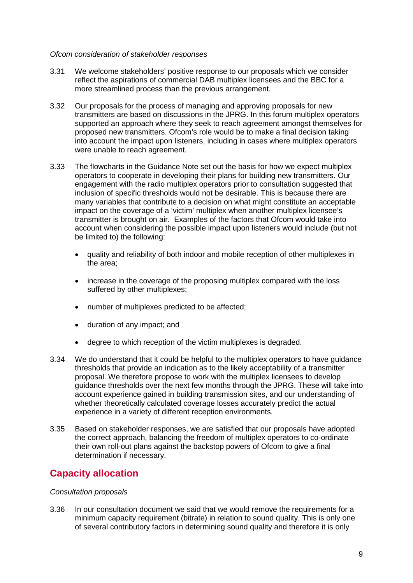#### *Ofcom consideration of stakeholder responses*

- 3.31 We welcome stakeholders' positive response to our proposals which we consider reflect the aspirations of commercial DAB multiplex licensees and the BBC for a more streamlined process than the previous arrangement.
- 3.32 Our proposals for the process of managing and approving proposals for new transmitters are based on discussions in the JPRG. In this forum multiplex operators supported an approach where they seek to reach agreement amongst themselves for proposed new transmitters. Ofcom's role would be to make a final decision taking into account the impact upon listeners, including in cases where multiplex operators were unable to reach agreement.
- 3.33 The flowcharts in the Guidance Note set out the basis for how we expect multiplex operators to cooperate in developing their plans for building new transmitters. Our engagement with the radio multiplex operators prior to consultation suggested that inclusion of specific thresholds would not be desirable. This is because there are many variables that contribute to a decision on what might constitute an acceptable impact on the coverage of a 'victim' multiplex when another multiplex licensee's transmitter is brought on air. Examples of the factors that Ofcom would take into account when considering the possible impact upon listeners would include (but not be limited to) the following:
	- quality and reliability of both indoor and mobile reception of other multiplexes in the area;
	- increase in the coverage of the proposing multiplex compared with the loss suffered by other multiplexes;
	- number of multiplexes predicted to be affected;
	- duration of any impact; and
	- degree to which reception of the victim multiplexes is degraded.
- 3.34 We do understand that it could be helpful to the multiplex operators to have guidance thresholds that provide an indication as to the likely acceptability of a transmitter proposal. We therefore propose to work with the multiplex licensees to develop guidance thresholds over the next few months through the JPRG. These will take into account experience gained in building transmission sites, and our understanding of whether theoretically calculated coverage losses accurately predict the actual experience in a variety of different reception environments.
- 3.35 Based on stakeholder responses, we are satisfied that our proposals have adopted the correct approach, balancing the freedom of multiplex operators to co-ordinate their own roll-out plans against the backstop powers of Ofcom to give a final determination if necessary.

## **Capacity allocation**

#### *Consultation proposals*

3.36 In our consultation document we said that we would remove the requirements for a minimum capacity requirement (bitrate) in relation to sound quality. This is only one of several contributory factors in determining sound quality and therefore it is only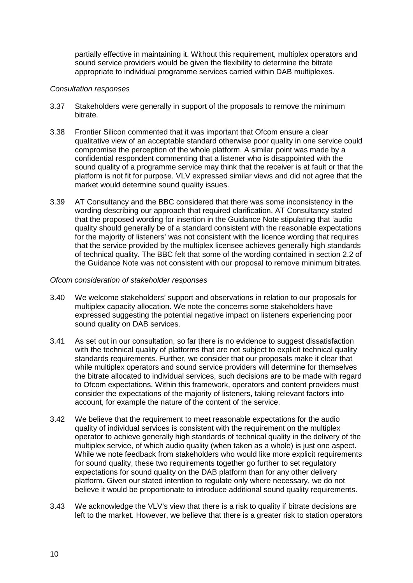partially effective in maintaining it. Without this requirement, multiplex operators and sound service providers would be given the flexibility to determine the bitrate appropriate to individual programme services carried within DAB multiplexes.

#### *Consultation responses*

- 3.37 Stakeholders were generally in support of the proposals to remove the minimum bitrate.
- 3.38 Frontier Silicon commented that it was important that Ofcom ensure a clear qualitative view of an acceptable standard otherwise poor quality in one service could compromise the perception of the whole platform. A similar point was made by a confidential respondent commenting that a listener who is disappointed with the sound quality of a programme service may think that the receiver is at fault or that the platform is not fit for purpose. VLV expressed similar views and did not agree that the market would determine sound quality issues.
- 3.39 AT Consultancy and the BBC considered that there was some inconsistency in the wording describing our approach that required clarification. AT Consultancy stated that the proposed wording for insertion in the Guidance Note stipulating that 'audio quality should generally be of a standard consistent with the reasonable expectations for the majority of listeners' was not consistent with the licence wording that requires that the service provided by the multiplex licensee achieves generally high standards of technical quality. The BBC felt that some of the wording contained in section 2.2 of the Guidance Note was not consistent with our proposal to remove minimum bitrates.

#### *Ofcom consideration of stakeholder responses*

- 3.40 We welcome stakeholders' support and observations in relation to our proposals for multiplex capacity allocation. We note the concerns some stakeholders have expressed suggesting the potential negative impact on listeners experiencing poor sound quality on DAB services.
- 3.41 As set out in our consultation, so far there is no evidence to suggest dissatisfaction with the technical quality of platforms that are not subject to explicit technical quality standards requirements. Further, we consider that our proposals make it clear that while multiplex operators and sound service providers will determine for themselves the bitrate allocated to individual services, such decisions are to be made with regard to Ofcom expectations. Within this framework, operators and content providers must consider the expectations of the majority of listeners, taking relevant factors into account, for example the nature of the content of the service.
- 3.42 We believe that the requirement to meet reasonable expectations for the audio quality of individual services is consistent with the requirement on the multiplex operator to achieve generally high standards of technical quality in the delivery of the multiplex service, of which audio quality (when taken as a whole) is just one aspect. While we note feedback from stakeholders who would like more explicit requirements for sound quality, these two requirements together go further to set regulatory expectations for sound quality on the DAB platform than for any other delivery platform. Given our stated intention to regulate only where necessary, we do not believe it would be proportionate to introduce additional sound quality requirements.
- 3.43 We acknowledge the VLV's view that there is a risk to quality if bitrate decisions are left to the market. However, we believe that there is a greater risk to station operators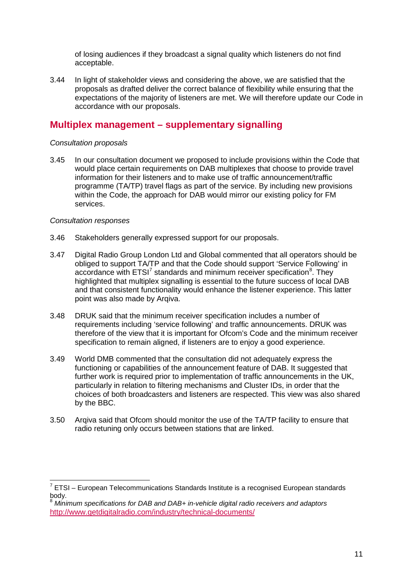of losing audiences if they broadcast a signal quality which listeners do not find acceptable.

3.44 In light of stakeholder views and considering the above, we are satisfied that the proposals as drafted deliver the correct balance of flexibility while ensuring that the expectations of the majority of listeners are met. We will therefore update our Code in accordance with our proposals.

### **Multiplex management – supplementary signalling**

#### *Consultation proposals*

3.45 In our consultation document we proposed to include provisions within the Code that would place certain requirements on DAB multiplexes that choose to provide travel information for their listeners and to make use of traffic announcement/traffic programme (TA/TP) travel flags as part of the service. By including new provisions within the Code, the approach for DAB would mirror our existing policy for FM services.

#### *Consultation responses*

- 3.46 Stakeholders generally expressed support for our proposals.
- 3.47 Digital Radio Group London Ltd and Global commented that all operators should be obliged to support TA/TP and that the Code should support 'Service Following' in accordance with  $ETSI<sup>7</sup>$  $ETSI<sup>7</sup>$  $ETSI<sup>7</sup>$  standards and minimum receiver specification $<sup>8</sup>$  $<sup>8</sup>$  $<sup>8</sup>$ . They</sup> highlighted that multiplex signalling is essential to the future success of local DAB and that consistent functionality would enhance the listener experience. This latter point was also made by Arqiva.
- 3.48 DRUK said that the minimum receiver specification includes a number of requirements including 'service following' and traffic announcements. DRUK was therefore of the view that it is important for Ofcom's Code and the minimum receiver specification to remain aligned, if listeners are to enjoy a good experience.
- 3.49 World DMB commented that the consultation did not adequately express the functioning or capabilities of the announcement feature of DAB. It suggested that further work is required prior to implementation of traffic announcements in the UK, particularly in relation to filtering mechanisms and Cluster IDs, in order that the choices of both broadcasters and listeners are respected. This view was also shared by the BBC.
- 3.50 Arqiva said that Ofcom should monitor the use of the TA/TP facility to ensure that radio retuning only occurs between stations that are linked.

<span id="page-13-0"></span> $7$  ETSI – European Telecommunications Standards Institute is a recognised European standards body.  $\overline{a}$ 

<span id="page-13-1"></span><sup>8</sup> *Minimum specifications for DAB and DAB+ in-vehicle digital radio receivers and adaptors* <http://www.getdigitalradio.com/industry/technical-documents/>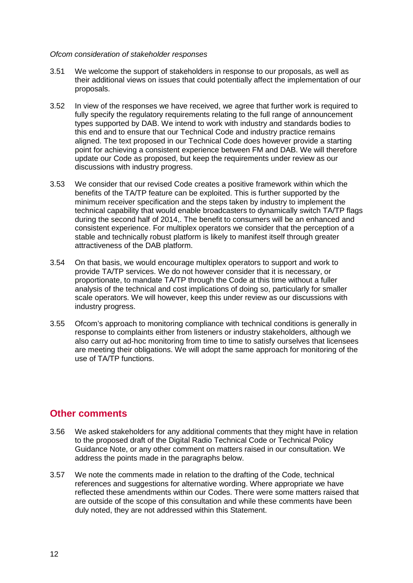#### *Ofcom consideration of stakeholder responses*

- 3.51 We welcome the support of stakeholders in response to our proposals, as well as their additional views on issues that could potentially affect the implementation of our proposals.
- 3.52 In view of the responses we have received, we agree that further work is required to fully specify the regulatory requirements relating to the full range of announcement types supported by DAB. We intend to work with industry and standards bodies to this end and to ensure that our Technical Code and industry practice remains aligned. The text proposed in our Technical Code does however provide a starting point for achieving a consistent experience between FM and DAB. We will therefore update our Code as proposed, but keep the requirements under review as our discussions with industry progress.
- 3.53 We consider that our revised Code creates a positive framework within which the benefits of the TA/TP feature can be exploited. This is further supported by the minimum receiver specification and the steps taken by industry to implement the technical capability that would enable broadcasters to dynamically switch TA/TP flags during the second half of 2014,. The benefit to consumers will be an enhanced and consistent experience. For multiplex operators we consider that the perception of a stable and technically robust platform is likely to manifest itself through greater attractiveness of the DAB platform.
- 3.54 On that basis, we would encourage multiplex operators to support and work to provide TA/TP services. We do not however consider that it is necessary, or proportionate, to mandate TA/TP through the Code at this time without a fuller analysis of the technical and cost implications of doing so, particularly for smaller scale operators. We will however, keep this under review as our discussions with industry progress.
- 3.55 Ofcom's approach to monitoring compliance with technical conditions is generally in response to complaints either from listeners or industry stakeholders, although we also carry out ad-hoc monitoring from time to time to satisfy ourselves that licensees are meeting their obligations. We will adopt the same approach for monitoring of the use of TA/TP functions.

### **Other comments**

- 3.56 We asked stakeholders for any additional comments that they might have in relation to the proposed draft of the Digital Radio Technical Code or Technical Policy Guidance Note, or any other comment on matters raised in our consultation. We address the points made in the paragraphs below.
- 3.57 We note the comments made in relation to the drafting of the Code, technical references and suggestions for alternative wording. Where appropriate we have reflected these amendments within our Codes. There were some matters raised that are outside of the scope of this consultation and while these comments have been duly noted, they are not addressed within this Statement.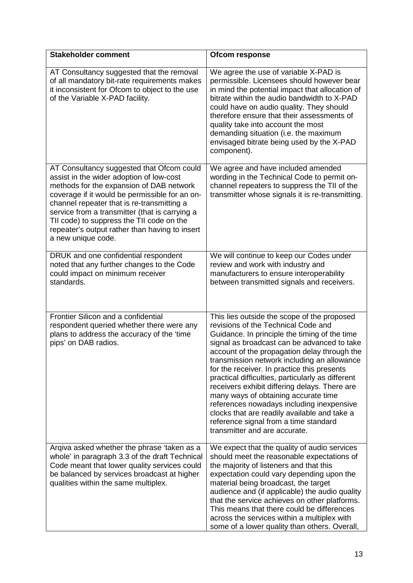| <b>Stakeholder comment</b>                                                                                                                                                                                                                                                                                                                                                                               | Ofcom response                                                                                                                                                                                                                                                                                                                                                                                                                                                                                                                                                                                                                                        |
|----------------------------------------------------------------------------------------------------------------------------------------------------------------------------------------------------------------------------------------------------------------------------------------------------------------------------------------------------------------------------------------------------------|-------------------------------------------------------------------------------------------------------------------------------------------------------------------------------------------------------------------------------------------------------------------------------------------------------------------------------------------------------------------------------------------------------------------------------------------------------------------------------------------------------------------------------------------------------------------------------------------------------------------------------------------------------|
| AT Consultancy suggested that the removal<br>of all mandatory bit-rate requirements makes<br>it inconsistent for Ofcom to object to the use<br>of the Variable X-PAD facility.                                                                                                                                                                                                                           | We agree the use of variable X-PAD is<br>permissible. Licensees should however bear<br>in mind the potential impact that allocation of<br>bitrate within the audio bandwidth to X-PAD<br>could have on audio quality. They should<br>therefore ensure that their assessments of<br>quality take into account the most<br>demanding situation (i.e. the maximum<br>envisaged bitrate being used by the X-PAD<br>component).                                                                                                                                                                                                                            |
| AT Consultancy suggested that Ofcom could<br>assist in the wider adoption of low-cost<br>methods for the expansion of DAB network<br>coverage if it would be permissible for an on-<br>channel repeater that is re-transmitting a<br>service from a transmitter (that is carrying a<br>TII code) to suppress the TII code on the<br>repeater's output rather than having to insert<br>a new unique code. | We agree and have included amended<br>wording in the Technical Code to permit on-<br>channel repeaters to suppress the TII of the<br>transmitter whose signals it is re-transmitting.                                                                                                                                                                                                                                                                                                                                                                                                                                                                 |
| DRUK and one confidential respondent<br>noted that any further changes to the Code<br>could impact on minimum receiver<br>standards.                                                                                                                                                                                                                                                                     | We will continue to keep our Codes under<br>review and work with industry and<br>manufacturers to ensure interoperability<br>between transmitted signals and receivers.                                                                                                                                                                                                                                                                                                                                                                                                                                                                               |
| Frontier Silicon and a confidential<br>respondent queried whether there were any<br>plans to address the accuracy of the 'time<br>pips' on DAB radios.                                                                                                                                                                                                                                                   | This lies outside the scope of the proposed<br>revisions of the Technical Code and<br>Guidance. In principle the timing of the time<br>signal as broadcast can be advanced to take<br>account of the propagation delay through the<br>transmission network including an allowance<br>for the receiver. In practice this presents<br>practical difficulties, particularly as different<br>receivers exhibit differing delays. There are<br>many ways of obtaining accurate time<br>references nowadays including inexpensive<br>clocks that are readily available and take a<br>reference signal from a time standard<br>transmitter and are accurate. |
| Arqiva asked whether the phrase 'taken as a<br>whole' in paragraph 3.3 of the draft Technical<br>Code meant that lower quality services could<br>be balanced by services broadcast at higher<br>qualities within the same multiplex.                                                                                                                                                                     | We expect that the quality of audio services<br>should meet the reasonable expectations of<br>the majority of listeners and that this<br>expectation could vary depending upon the<br>material being broadcast, the target<br>audience and (if applicable) the audio quality<br>that the service achieves on other platforms.<br>This means that there could be differences<br>across the services within a multiplex with<br>some of a lower quality than others. Overall,                                                                                                                                                                           |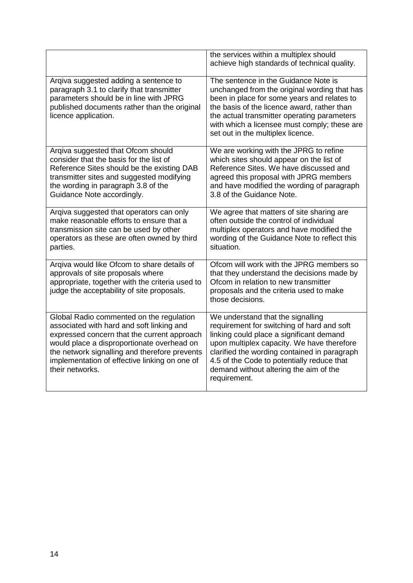|                                                                                                                                                                                                                                                                                                         | the services within a multiplex should<br>achieve high standards of technical quality.                                                                                                                                                                                                                                            |
|---------------------------------------------------------------------------------------------------------------------------------------------------------------------------------------------------------------------------------------------------------------------------------------------------------|-----------------------------------------------------------------------------------------------------------------------------------------------------------------------------------------------------------------------------------------------------------------------------------------------------------------------------------|
| Arqiva suggested adding a sentence to<br>paragraph 3.1 to clarify that transmitter<br>parameters should be in line with JPRG<br>published documents rather than the original<br>licence application.                                                                                                    | The sentence in the Guidance Note is<br>unchanged from the original wording that has<br>been in place for some years and relates to<br>the basis of the licence award, rather than<br>the actual transmitter operating parameters<br>with which a licensee must comply; these are<br>set out in the multiplex licence.            |
| Arqiva suggested that Ofcom should<br>consider that the basis for the list of<br>Reference Sites should be the existing DAB<br>transmitter sites and suggested modifying<br>the wording in paragraph 3.8 of the<br>Guidance Note accordingly.                                                           | We are working with the JPRG to refine<br>which sites should appear on the list of<br>Reference Sites. We have discussed and<br>agreed this proposal with JPRG members<br>and have modified the wording of paragraph<br>3.8 of the Guidance Note.                                                                                 |
| Argiva suggested that operators can only<br>make reasonable efforts to ensure that a<br>transmission site can be used by other<br>operators as these are often owned by third<br>parties.                                                                                                               | We agree that matters of site sharing are<br>often outside the control of individual<br>multiplex operators and have modified the<br>wording of the Guidance Note to reflect this<br>situation.                                                                                                                                   |
| Arqiva would like Ofcom to share details of<br>approvals of site proposals where<br>appropriate, together with the criteria used to<br>judge the acceptability of site proposals.                                                                                                                       | Ofcom will work with the JPRG members so<br>that they understand the decisions made by<br>Ofcom in relation to new transmitter<br>proposals and the criteria used to make<br>those decisions.                                                                                                                                     |
| Global Radio commented on the regulation<br>associated with hard and soft linking and<br>expressed concern that the current approach<br>would place a disproportionate overhead on<br>the network signalling and therefore prevents<br>implementation of effective linking on one of<br>their networks. | We understand that the signalling<br>requirement for switching of hard and soft<br>linking could place a significant demand<br>upon multiplex capacity. We have therefore<br>clarified the wording contained in paragraph<br>4.5 of the Code to potentially reduce that<br>demand without altering the aim of the<br>requirement. |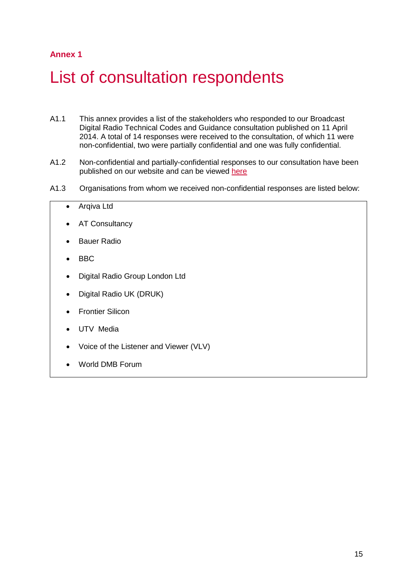### **Annex 1**

## <span id="page-17-0"></span>List of consultation respondents

- A1.1 This annex provides a list of the stakeholders who responded to our Broadcast Digital Radio Technical Codes and Guidance consultation published on 11 April 2014. A total of 14 responses were received to the consultation, of which 11 were non-confidential, two were partially confidential and one was fully confidential.
- A1.2 Non-confidential and partially-confidential responses to our consultation have been published on our website and can be viewed [here](http://stakeholders.ofcom.org.uk/consultations/digital-radio-tech-codes/?showResponses=true)
- A1.3 Organisations from whom we received non-confidential responses are listed below:
	- Arqiva Ltd
	- AT Consultancy
	- **Bauer Radio**
	- BBC
	- Digital Radio Group London Ltd
	- Digital Radio UK (DRUK)
	- Frontier Silicon
	- UTV Media
	- Voice of the Listener and Viewer (VLV)
	- World DMB Forum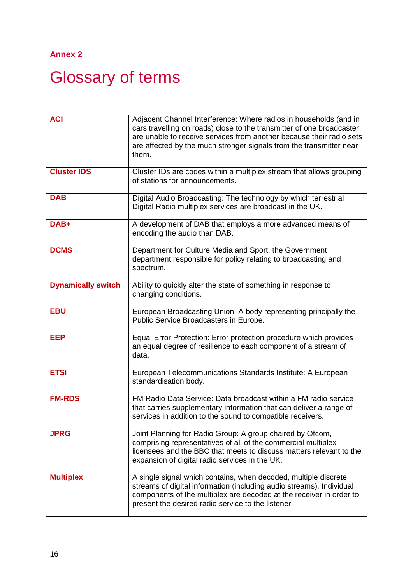## **Annex 2**

# <span id="page-18-0"></span>Glossary of terms

| <b>ACI</b>                | Adjacent Channel Interference: Where radios in households (and in<br>cars travelling on roads) close to the transmitter of one broadcaster<br>are unable to receive services from another because their radio sets<br>are affected by the much stronger signals from the transmitter near<br>them. |
|---------------------------|----------------------------------------------------------------------------------------------------------------------------------------------------------------------------------------------------------------------------------------------------------------------------------------------------|
| <b>Cluster IDS</b>        | Cluster IDs are codes within a multiplex stream that allows grouping<br>of stations for announcements.                                                                                                                                                                                             |
| <b>DAB</b>                | Digital Audio Broadcasting: The technology by which terrestrial<br>Digital Radio multiplex services are broadcast in the UK.                                                                                                                                                                       |
| DAB+                      | A development of DAB that employs a more advanced means of<br>encoding the audio than DAB.                                                                                                                                                                                                         |
| <b>DCMS</b>               | Department for Culture Media and Sport, the Government<br>department responsible for policy relating to broadcasting and<br>spectrum.                                                                                                                                                              |
| <b>Dynamically switch</b> | Ability to quickly alter the state of something in response to<br>changing conditions.                                                                                                                                                                                                             |
| <b>EBU</b>                | European Broadcasting Union: A body representing principally the<br>Public Service Broadcasters in Europe.                                                                                                                                                                                         |
| <b>EEP</b>                | Equal Error Protection: Error protection procedure which provides<br>an equal degree of resilience to each component of a stream of<br>data.                                                                                                                                                       |
| <b>ETSI</b>               | European Telecommunications Standards Institute: A European<br>standardisation body.                                                                                                                                                                                                               |
| <b>FM-RDS</b>             | FM Radio Data Service: Data broadcast within a FM radio service<br>that carries supplementary information that can deliver a range of<br>services in addition to the sound to compatible receivers.                                                                                                |
| <b>JPRG</b>               | Joint Planning for Radio Group: A group chaired by Ofcom,<br>comprising representatives of all of the commercial multiplex<br>licensees and the BBC that meets to discuss matters relevant to the<br>expansion of digital radio services in the UK.                                                |
| <b>Multiplex</b>          | A single signal which contains, when decoded, multiple discrete<br>streams of digital information (including audio streams). Individual<br>components of the multiplex are decoded at the receiver in order to<br>present the desired radio service to the listener.                               |